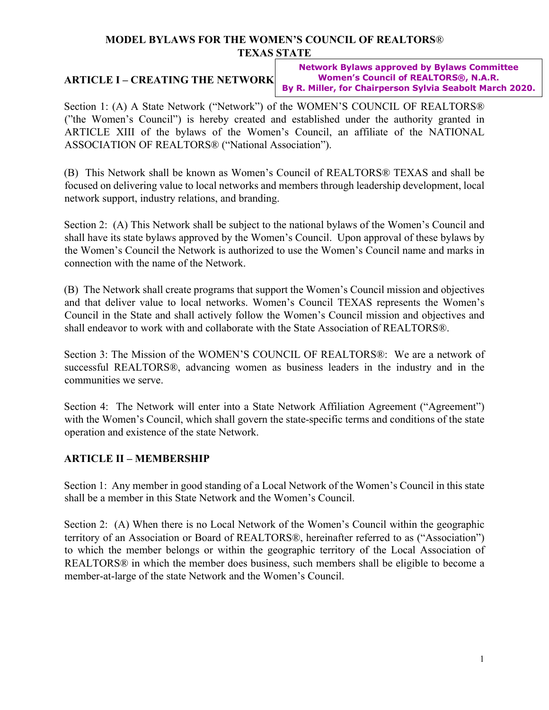#### **MODEL BYLAWS FOR THE WOMEN'S COUNCIL OF REALTORS**® **TEXAS STATE**

# **ARTICLE I – CREATING THE NETWORK**

**Network Bylaws approved by Bylaws Committee Women's Council of REALTORS®, N.A.R. By R. Miller, for Chairperson Sylvia Seabolt March 2020.**

Section 1: (A) A State Network ("Network") of the WOMEN'S COUNCIL OF REALTORS® ("the Women's Council") is hereby created and established under the authority granted in ARTICLE XIII of the bylaws of the Women's Council, an affiliate of the NATIONAL ASSOCIATION OF REALTORS® ("National Association").

(B) This Network shall be known as Women's Council of REALTORS® TEXAS and shall be focused on delivering value to local networks and members through leadership development, local network support, industry relations, and branding.

Section 2: (A) This Network shall be subject to the national bylaws of the Women's Council and shall have its state bylaws approved by the Women's Council. Upon approval of these bylaws by the Women's Council the Network is authorized to use the Women's Council name and marks in connection with the name of the Network.

(B) The Network shall create programs that support the Women's Council mission and objectives and that deliver value to local networks. Women's Council TEXAS represents the Women's Council in the State and shall actively follow the Women's Council mission and objectives and shall endeavor to work with and collaborate with the State Association of REALTORS®.

Section 3: The Mission of the WOMEN'S COUNCIL OF REALTORS®: We are a network of successful REALTORS®, advancing women as business leaders in the industry and in the communities we serve.

Section 4: The Network will enter into a State Network Affiliation Agreement ("Agreement") with the Women's Council, which shall govern the state-specific terms and conditions of the state operation and existence of the state Network.

# **ARTICLE II – MEMBERSHIP**

Section 1: Any member in good standing of a Local Network of the Women's Council in this state shall be a member in this State Network and the Women's Council.

Section 2: (A) When there is no Local Network of the Women's Council within the geographic territory of an Association or Board of REALTORS®, hereinafter referred to as ("Association") to which the member belongs or within the geographic territory of the Local Association of REALTORS® in which the member does business, such members shall be eligible to become a member-at-large of the state Network and the Women's Council.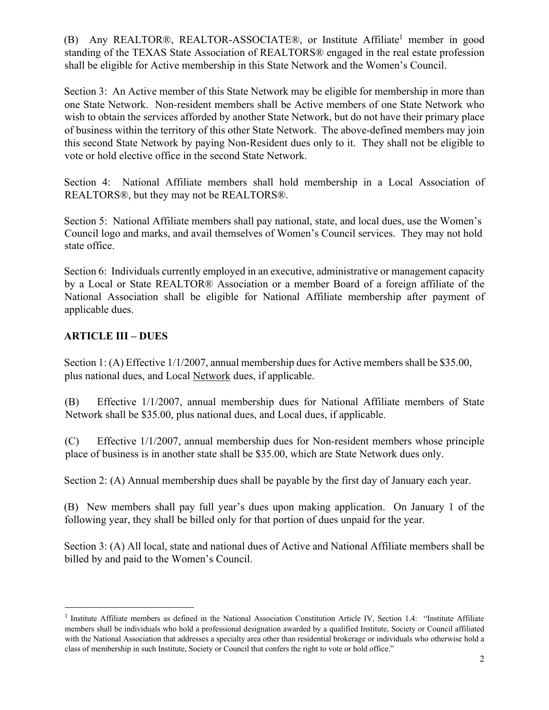(B) Any REALTOR®, REALTOR-ASSOCIATE®, or Institute Affiliate<sup>1</sup> member in good standing of the TEXAS State Association of REALTORS® engaged in the real estate profession shall be eligible for Active membership in this State Network and the Women's Council.

Section 3: An Active member of this State Network may be eligible for membership in more than one State Network. Non-resident members shall be Active members of one State Network who wish to obtain the services afforded by another State Network, but do not have their primary place of business within the territory of this other State Network. The above-defined members may join this second State Network by paying Non-Resident dues only to it. They shall not be eligible to vote or hold elective office in the second State Network.

Section 4: National Affiliate members shall hold membership in a Local Association of REALTORS®, but they may not be REALTORS®.

Section 5: National Affiliate members shall pay national, state, and local dues, use the Women's Council logo and marks, and avail themselves of Women's Council services. They may not hold state office.

Section 6: Individuals currently employed in an executive, administrative or management capacity by a Local or State REALTOR® Association or a member Board of a foreign affiliate of the National Association shall be eligible for National Affiliate membership after payment of applicable dues.

## **ARTICLE III – DUES**

Section 1: (A) Effective 1/1/2007, annual membership dues for Active members shall be \$35.00, plus national dues, and Local Network dues, if applicable.

(B) Effective 1/1/2007, annual membership dues for National Affiliate members of State Network shall be \$35.00, plus national dues, and Local dues, if applicable.

(C) Effective 1/1/2007, annual membership dues for Non-resident members whose principle place of business is in another state shall be \$35.00, which are State Network dues only.

Section 2: (A) Annual membership dues shall be payable by the first day of January each year.

(B) New members shall pay full year's dues upon making application. On January 1 of the following year, they shall be billed only for that portion of dues unpaid for the year.

Section 3: (A) All local, state and national dues of Active and National Affiliate members shall be billed by and paid to the Women's Council.

<sup>&</sup>lt;sup>1</sup> Institute Affiliate members as defined in the National Association Constitution Article IV, Section 1.4: "Institute Affiliate members shall be individuals who hold a professional designation awarded by a qualified Institute, Society or Council affiliated with the National Association that addresses a specialty area other than residential brokerage or individuals who otherwise hold a class of membership in such Institute, Society or Council that confers the right to vote or hold office."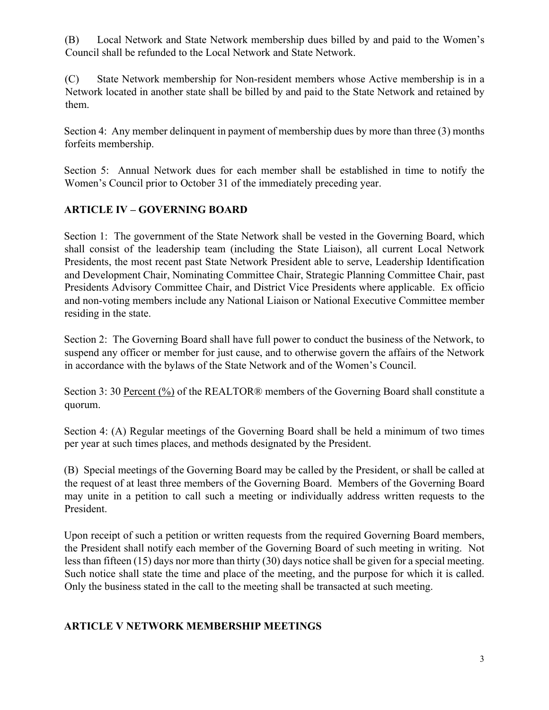(B) Local Network and State Network membership dues billed by and paid to the Women's Council shall be refunded to the Local Network and State Network.

(C) State Network membership for Non-resident members whose Active membership is in a Network located in another state shall be billed by and paid to the State Network and retained by them.

Section 4: Any member delinquent in payment of membership dues by more than three (3) months forfeits membership.

Section 5: Annual Network dues for each member shall be established in time to notify the Women's Council prior to October 31 of the immediately preceding year.

#### **ARTICLE IV – GOVERNING BOARD**

Section 1: The government of the State Network shall be vested in the Governing Board, which shall consist of the leadership team (including the State Liaison), all current Local Network Presidents, the most recent past State Network President able to serve, Leadership Identification and Development Chair, Nominating Committee Chair, Strategic Planning Committee Chair, past Presidents Advisory Committee Chair, and District Vice Presidents where applicable. Ex officio and non-voting members include any National Liaison or National Executive Committee member residing in the state.

Section 2: The Governing Board shall have full power to conduct the business of the Network, to suspend any officer or member for just cause, and to otherwise govern the affairs of the Network in accordance with the bylaws of the State Network and of the Women's Council.

Section 3: 30 Percent (%) of the REALTOR® members of the Governing Board shall constitute a quorum.

Section 4: (A) Regular meetings of the Governing Board shall be held a minimum of two times per year at such times places, and methods designated by the President.

(B) Special meetings of the Governing Board may be called by the President, or shall be called at the request of at least three members of the Governing Board. Members of the Governing Board may unite in a petition to call such a meeting or individually address written requests to the President.

Upon receipt of such a petition or written requests from the required Governing Board members, the President shall notify each member of the Governing Board of such meeting in writing. Not less than fifteen (15) days nor more than thirty (30) days notice shall be given for a special meeting. Such notice shall state the time and place of the meeting, and the purpose for which it is called. Only the business stated in the call to the meeting shall be transacted at such meeting.

#### **ARTICLE V NETWORK MEMBERSHIP MEETINGS**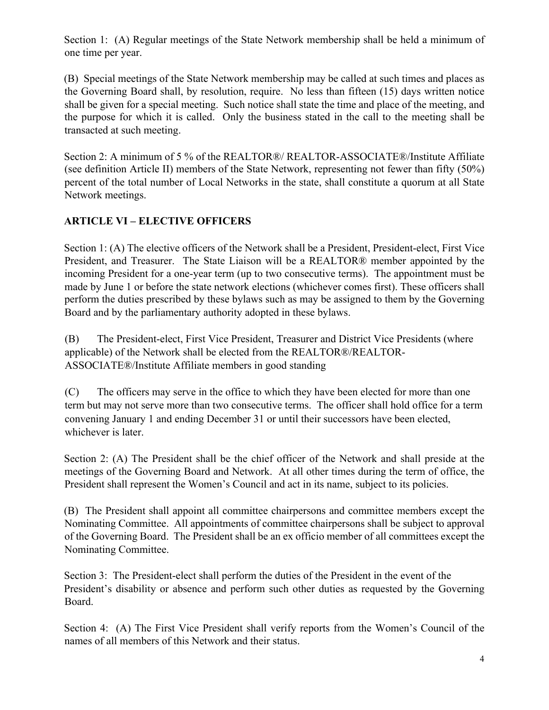Section 1: (A) Regular meetings of the State Network membership shall be held a minimum of one time per year.

(B) Special meetings of the State Network membership may be called at such times and places as the Governing Board shall, by resolution, require. No less than fifteen (15) days written notice shall be given for a special meeting. Such notice shall state the time and place of the meeting, and the purpose for which it is called. Only the business stated in the call to the meeting shall be transacted at such meeting.

Section 2: A minimum of 5 % of the REALTOR®/ REALTOR-ASSOCIATE®/Institute Affiliate (see definition Article II) members of the State Network, representing not fewer than fifty (50%) percent of the total number of Local Networks in the state, shall constitute a quorum at all State Network meetings.

# **ARTICLE VI – ELECTIVE OFFICERS**

Section 1: (A) The elective officers of the Network shall be a President, President-elect, First Vice President, and Treasurer. The State Liaison will be a REALTOR® member appointed by the incoming President for a one-year term (up to two consecutive terms). The appointment must be made by June 1 or before the state network elections (whichever comes first). These officers shall perform the duties prescribed by these bylaws such as may be assigned to them by the Governing Board and by the parliamentary authority adopted in these bylaws.

(B) The President-elect, First Vice President, Treasurer and District Vice Presidents (where applicable) of the Network shall be elected from the REALTOR®/REALTOR-ASSOCIATE®/Institute Affiliate members in good standing

(C) The officers may serve in the office to which they have been elected for more than one term but may not serve more than two consecutive terms. The officer shall hold office for a term convening January 1 and ending December 31 or until their successors have been elected, whichever is later.

Section 2: (A) The President shall be the chief officer of the Network and shall preside at the meetings of the Governing Board and Network. At all other times during the term of office, the President shall represent the Women's Council and act in its name, subject to its policies.

(B) The President shall appoint all committee chairpersons and committee members except the Nominating Committee. All appointments of committee chairpersons shall be subject to approval of the Governing Board. The President shall be an ex officio member of all committees except the Nominating Committee.

Section 3: The President-elect shall perform the duties of the President in the event of the President's disability or absence and perform such other duties as requested by the Governing Board.

Section 4: (A) The First Vice President shall verify reports from the Women's Council of the names of all members of this Network and their status.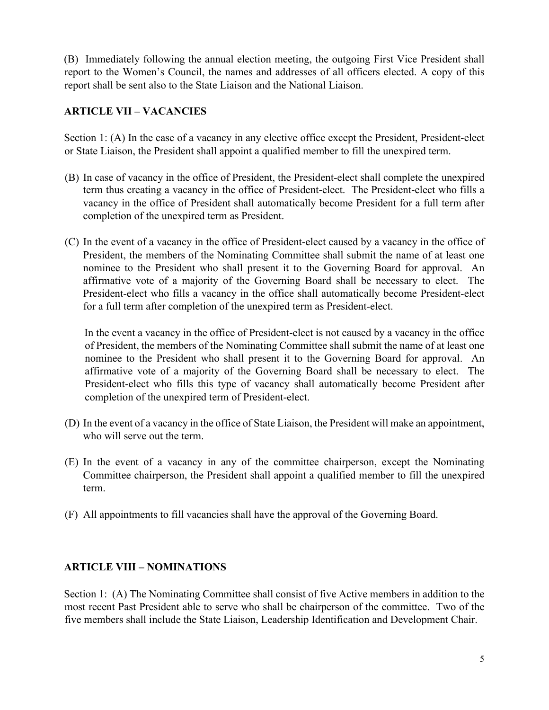(B) Immediately following the annual election meeting, the outgoing First Vice President shall report to the Women's Council, the names and addresses of all officers elected. A copy of this report shall be sent also to the State Liaison and the National Liaison.

## **ARTICLE VII – VACANCIES**

Section 1: (A) In the case of a vacancy in any elective office except the President, President-elect or State Liaison, the President shall appoint a qualified member to fill the unexpired term.

- (B) In case of vacancy in the office of President, the President-elect shall complete the unexpired term thus creating a vacancy in the office of President-elect. The President-elect who fills a vacancy in the office of President shall automatically become President for a full term after completion of the unexpired term as President.
- (C) In the event of a vacancy in the office of President-elect caused by a vacancy in the office of President, the members of the Nominating Committee shall submit the name of at least one nominee to the President who shall present it to the Governing Board for approval. An affirmative vote of a majority of the Governing Board shall be necessary to elect. The President-elect who fills a vacancy in the office shall automatically become President-elect for a full term after completion of the unexpired term as President-elect.

In the event a vacancy in the office of President-elect is not caused by a vacancy in the office of President, the members of the Nominating Committee shall submit the name of at least one nominee to the President who shall present it to the Governing Board for approval. An affirmative vote of a majority of the Governing Board shall be necessary to elect. The President-elect who fills this type of vacancy shall automatically become President after completion of the unexpired term of President-elect.

- (D) In the event of a vacancy in the office of State Liaison, the President will make an appointment, who will serve out the term.
- (E) In the event of a vacancy in any of the committee chairperson, except the Nominating Committee chairperson, the President shall appoint a qualified member to fill the unexpired term.
- (F) All appointments to fill vacancies shall have the approval of the Governing Board.

#### **ARTICLE VIII – NOMINATIONS**

Section 1: (A) The Nominating Committee shall consist of five Active members in addition to the most recent Past President able to serve who shall be chairperson of the committee. Two of the five members shall include the State Liaison, Leadership Identification and Development Chair.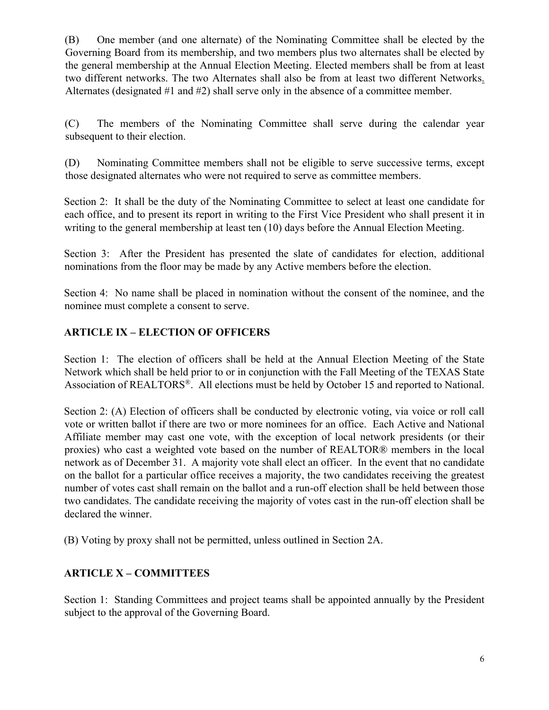(B) One member (and one alternate) of the Nominating Committee shall be elected by the Governing Board from its membership, and two members plus two alternates shall be elected by the general membership at the Annual Election Meeting. Elected members shall be from at least two different networks. The two Alternates shall also be from at least two different Networks. Alternates (designated #1 and #2) shall serve only in the absence of a committee member.

(C) The members of the Nominating Committee shall serve during the calendar year subsequent to their election.

(D) Nominating Committee members shall not be eligible to serve successive terms, except those designated alternates who were not required to serve as committee members.

Section 2: It shall be the duty of the Nominating Committee to select at least one candidate for each office, and to present its report in writing to the First Vice President who shall present it in writing to the general membership at least ten (10) days before the Annual Election Meeting.

Section 3: After the President has presented the slate of candidates for election, additional nominations from the floor may be made by any Active members before the election.

Section 4: No name shall be placed in nomination without the consent of the nominee, and the nominee must complete a consent to serve.

## **ARTICLE IX – ELECTION OF OFFICERS**

Section 1: The election of officers shall be held at the Annual Election Meeting of the State Network which shall be held prior to or in conjunction with the Fall Meeting of the TEXAS State Association of REALTORS®. All elections must be held by October 15 and reported to National.

Section 2: (A) Election of officers shall be conducted by electronic voting, via voice or roll call vote or written ballot if there are two or more nominees for an office. Each Active and National Affiliate member may cast one vote, with the exception of local network presidents (or their proxies) who cast a weighted vote based on the number of REALTOR® members in the local network as of December 31. A majority vote shall elect an officer. In the event that no candidate on the ballot for a particular office receives a majority, the two candidates receiving the greatest number of votes cast shall remain on the ballot and a run-off election shall be held between those two candidates. The candidate receiving the majority of votes cast in the run-off election shall be declared the winner.

(B) Voting by proxy shall not be permitted, unless outlined in Section 2A.

#### **ARTICLE X – COMMITTEES**

Section 1: Standing Committees and project teams shall be appointed annually by the President subject to the approval of the Governing Board.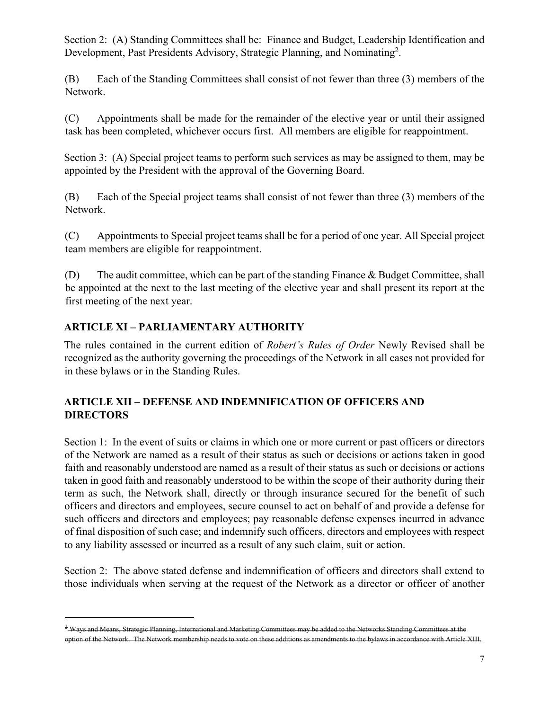Section 2: (A) Standing Committees shall be: Finance and Budget, Leadership Identification and Development, Past Presidents Advisory, Strategic Planning, and Nominating<sup>2</sup>.

(B) Each of the Standing Committees shall consist of not fewer than three (3) members of the Network.

(C) Appointments shall be made for the remainder of the elective year or until their assigned task has been completed, whichever occurs first. All members are eligible for reappointment.

Section 3: (A) Special project teams to perform such services as may be assigned to them, may be appointed by the President with the approval of the Governing Board.

(B) Each of the Special project teams shall consist of not fewer than three (3) members of the Network.

(C) Appointments to Special project teams shall be for a period of one year. All Special project team members are eligible for reappointment.

(D) The audit committee, which can be part of the standing Finance & Budget Committee, shall be appointed at the next to the last meeting of the elective year and shall present its report at the first meeting of the next year.

## **ARTICLE XI – PARLIAMENTARY AUTHORITY**

The rules contained in the current edition of *Robert's Rules of Order* Newly Revised shall be recognized as the authority governing the proceedings of the Network in all cases not provided for in these bylaws or in the Standing Rules.

#### **ARTICLE XII – DEFENSE AND INDEMNIFICATION OF OFFICERS AND DIRECTORS**

Section 1: In the event of suits or claims in which one or more current or past officers or directors of the Network are named as a result of their status as such or decisions or actions taken in good faith and reasonably understood are named as a result of their status as such or decisions or actions taken in good faith and reasonably understood to be within the scope of their authority during their term as such, the Network shall, directly or through insurance secured for the benefit of such officers and directors and employees, secure counsel to act on behalf of and provide a defense for such officers and directors and employees; pay reasonable defense expenses incurred in advance of final disposition of such case; and indemnify such officers, directors and employees with respect to any liability assessed or incurred as a result of any such claim, suit or action.

Section 2: The above stated defense and indemnification of officers and directors shall extend to those individuals when serving at the request of the Network as a director or officer of another

<sup>&</sup>lt;sup>2</sup> Ways and Means, Strategic Planning, International and Marketing Committees may be added to the Networks Standing Committees at the option of the Network. The Network membership needs to vote on these additions as amendments to the bylaws in accordance with Article XIII.